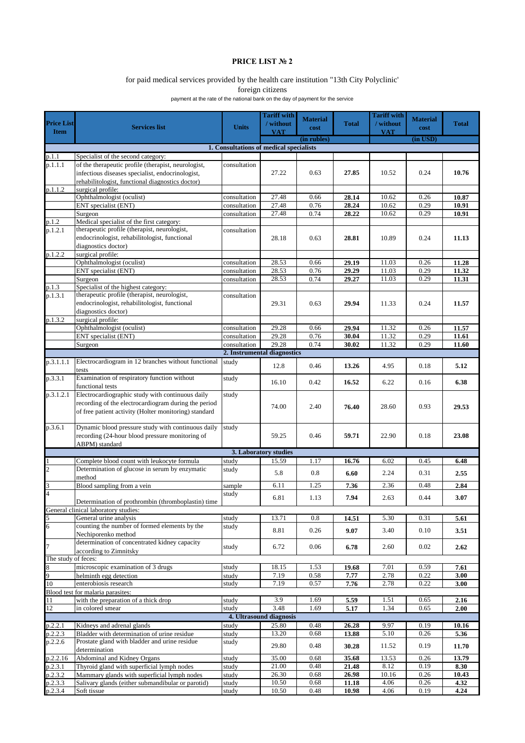## **PRICE LIST № 2**

## for paid medical services provided by the health care institution "13th City Polyclinic'

foreign citizens

payment at the rate of the national bank on the day of payment for the service

|                     |                                                                                           |                                         | <b>Tariff with</b>          |                         |              | <b>Tariff with</b> |                 |              |
|---------------------|-------------------------------------------------------------------------------------------|-----------------------------------------|-----------------------------|-------------------------|--------------|--------------------|-----------------|--------------|
| <b>Price List</b>   | <b>Services list</b>                                                                      | <b>Units</b>                            | / without                   | <b>Material</b><br>cost | <b>Total</b> | / without          | <b>Material</b> | <b>Total</b> |
| <b>Item</b>         |                                                                                           |                                         | <b>VAT</b>                  |                         |              | <b>VAT</b>         | cost            |              |
|                     |                                                                                           |                                         |                             | (in rubles)             |              |                    | $(in$ $USD)$    |              |
|                     |                                                                                           | 1. Consultations of medical specialists |                             |                         |              |                    |                 |              |
| p.1.1               | Specialist of the second category:                                                        |                                         |                             |                         |              |                    |                 |              |
| p.1.1.1             | of the therapeutic profile (therapist, neurologist,                                       | consultation                            |                             |                         |              |                    |                 |              |
|                     | infectious diseases specialist, endocrinologist,                                          |                                         | 27.22                       | 0.63                    | 27.85        | 10.52              | 0.24            | 10.76        |
|                     | rehabilitologist, functional diagnostics doctor)                                          |                                         |                             |                         |              |                    |                 |              |
| p.1.1.2             | surgical profile:                                                                         |                                         |                             |                         |              |                    |                 |              |
|                     | Ophthalmologist (oculist)                                                                 | consultation                            | 27.48                       | 0.66                    | 28.14        | 10.62              | 0.26            | 10.87        |
|                     | ENT specialist (ENT)                                                                      | consultation                            | 27.48                       | 0.76                    | 28.24        | 10.62              | 0.29            | 10.91        |
|                     | Surgeon                                                                                   | consultation                            | 27.48                       | 0.74                    | 28.22        | 10.62              | 0.29            | 10.91        |
| p.1.2               | Medical specialist of the first category:<br>therapeutic profile (therapist, neurologist, |                                         |                             |                         |              |                    |                 |              |
| p.1.2.1             | endocrinologist, rehabilitologist, functional                                             | consultation                            |                             |                         |              |                    |                 |              |
|                     |                                                                                           |                                         | 28.18                       | 0.63                    | 28.81        | 10.89              | 0.24            | 11.13        |
|                     | diagnostics doctor)<br>surgical profile:                                                  |                                         |                             |                         |              |                    |                 |              |
| p.1.2.2             | Ophthalmologist (oculist)                                                                 | consultation                            | 28.53                       | 0.66                    | 29.19        | 11.03              | 0.26            | 11.28        |
|                     | ENT specialist (ENT)                                                                      | consultation                            | 28.53                       | 0.76                    | 29.29        | 11.03              | 0.29            | 11.32        |
|                     | Surgeon                                                                                   |                                         | 28.53                       | 0.74                    | 29.27        | 11.03              | 0.29            | 11.31        |
| p.1.3               | Specialist of the highest category:                                                       | consultation                            |                             |                         |              |                    |                 |              |
| p.1.3.1             | therapeutic profile (therapist, neurologist,                                              | consultation                            |                             |                         |              |                    |                 |              |
|                     | endocrinologist, rehabilitologist, functional                                             |                                         | 29.31                       | 0.63                    | 29.94        | 11.33              | 0.24            | 11.57        |
|                     | diagnostics doctor)                                                                       |                                         |                             |                         |              |                    |                 |              |
| p.1.3.2             | surgical profile:                                                                         |                                         |                             |                         |              |                    |                 |              |
|                     | Ophthalmologist (oculist)                                                                 | consultation                            | 29.28                       | 0.66                    | 29.94        | 11.32              | 0.26            | 11.57        |
|                     | ENT specialist (ENT)                                                                      | consultation                            | 29.28                       | 0.76                    | 30.04        | 11.32              | 0.29            | 11.61        |
|                     | Surgeon                                                                                   | consultation                            | 29.28                       | 0.74                    | 30.02        | 11.32              | 0.29            | 11.60        |
|                     |                                                                                           |                                         | 2. Instrumental diagnostics |                         |              |                    |                 |              |
| p.3.1.1.1           | Electrocardiogram in 12 branches without functional                                       | study                                   |                             |                         |              |                    |                 |              |
|                     | tests                                                                                     |                                         | 12.8                        | 0.46                    | 13.26        | 4.95               | 0.18            | 5.12         |
| p.3.3.1             | Examination of respiratory function without                                               | study                                   |                             |                         |              |                    |                 |              |
|                     | functional tests                                                                          |                                         | 16.10                       | 0.42                    | 16.52        | 6.22               | 0.16            | 6.38         |
| p.3.1.2.1           | Electrocardiographic study with continuous daily                                          | study                                   |                             |                         |              |                    |                 |              |
|                     | recording of the electrocardiogram during the period                                      |                                         |                             |                         |              |                    |                 |              |
|                     | of free patient activity (Holter monitoring) standard                                     |                                         | 74.00                       | 2.40                    | 76.40        | 28.60              | 0.93            | 29.53        |
|                     |                                                                                           |                                         |                             |                         |              |                    |                 |              |
| p.3.6.1             | Dynamic blood pressure study with continuous daily                                        | study                                   |                             |                         |              |                    |                 |              |
|                     | recording (24-hour blood pressure monitoring of                                           |                                         | 59.25                       | 0.46                    | 59.71        | 22.90              | 0.18            | 23.08        |
|                     | ABPM) standard                                                                            |                                         |                             |                         |              |                    |                 |              |
|                     |                                                                                           |                                         | 3. Laboratory studies       |                         |              |                    |                 |              |
| 1                   | Complete blood count with leukocyte formula                                               | study                                   | 15.59                       | 1.17                    | 16.76        | 6.02               | 0.45            | 6.48         |
| $\overline{c}$      | Determination of glucose in serum by enzymatic                                            | study                                   |                             |                         |              |                    |                 |              |
|                     | method                                                                                    |                                         | 5.8                         | 0.8                     | 6.60         | 2.24               | 0.31            | 2.55         |
| 3                   | Blood sampling from a vein                                                                | sample                                  | 6.11                        | 1.25                    | 7.36         | 2.36               | 0.48            | 2.84         |
| $\overline{4}$      |                                                                                           | study                                   |                             |                         |              |                    |                 |              |
|                     | Determination of prothrombin (thromboplastin) time                                        |                                         | 6.81                        | 1.13                    | 7.94         | 2.63               | 0.44            | 3.07         |
|                     | General clinical laboratory studies:                                                      |                                         |                             |                         |              |                    |                 |              |
| 5                   | General urine analysis                                                                    | study                                   | 13.71                       | 0.8                     | 14.51        | 5.30               | 0.31            | 5.61         |
| 6                   | counting the number of formed elements by the                                             | study                                   | 8.81                        | 0.26                    | 9.07         | 3.40               | 0.10            | 3.51         |
|                     | Nechiporenko method                                                                       |                                         |                             |                         |              |                    |                 |              |
| $\overline{7}$      | determination of concentrated kidney capacity                                             | study                                   | 6.72                        | 0.06                    | 6.78         | 2.60               | 0.02            | 2.62         |
|                     | according to Zimnitsky                                                                    |                                         |                             |                         |              |                    |                 |              |
| The study of feces: |                                                                                           |                                         |                             |                         |              |                    |                 |              |
| $\,$ 8 $\,$         | microscopic examination of 3 drugs                                                        | study                                   | 18.15                       | 1.53                    | 19.68        | 7.01               | 0.59            | 7.61         |
| 9                   | helminth egg detection                                                                    | study                                   | 7.19                        | 0.58                    | 7.77         | 2.78               | 0.22            | 3.00         |
| 10                  | enterobiosis research                                                                     | study                                   | 7.19                        | 0.57                    | 7.76         | 2.78               | 0.22            | 3.00         |
|                     | Blood test for malaria parasites:                                                         |                                         |                             |                         |              |                    |                 |              |
| 11                  | with the preparation of a thick drop                                                      | study                                   | 3.9                         | 1.69                    | 5.59         | 1.51               | 0.65            | 2.16         |
| 12                  | in colored smear                                                                          | study                                   | 3.48                        | 1.69                    | 5.17         | 1.34               | 0.65            | 2.00         |
|                     |                                                                                           |                                         | 4. Ultrasound diagnosis     |                         |              |                    |                 |              |
| p.2.2.1             | Kidneys and adrenal glands                                                                | study                                   | 25.80                       | 0.48                    | 26.28        | 9.97               | 0.19            | 10.16        |
| p.2.2.3             | Bladder with determination of urine residue                                               | study                                   | 13.20                       | 0.68                    | 13.88        | 5.10               | 0.26            | 5.36         |
| p.2.2.6             | Prostate gland with bladder and urine residue                                             | study                                   | 29.80                       | 0.48                    | 30.28        | 11.52              | 0.19            | 11.70        |
|                     | determination                                                                             |                                         |                             |                         |              |                    |                 |              |
| p.2.2.16            | Abdominal and Kidney Organs                                                               | study                                   | 35.00                       | 0.68                    | 35.68        | 13.53              | 0.26            | 13.79        |
| p.2.3.1             | Thyroid gland with superficial lymph nodes                                                | study                                   | 21.00                       | 0.48                    | 21.48        | 8.12               | 0.19            | 8.30         |
| p.2.3.2             | Mammary glands with superficial lymph nodes                                               | study                                   | 26.30                       | 0.68                    | 26.98        | 10.16              | 0.26            | 10.43        |
| p.2.3.3             | Salivary glands (either submandibular or parotid)                                         | study                                   | 10.50                       | 0.68                    | 11.18        | 4.06               | 0.26            | 4.32         |
| p.2.3.4             | Soft tissue                                                                               | study                                   | 10.50                       | 0.48                    | 10.98        | 4.06               | 0.19            | 4.24         |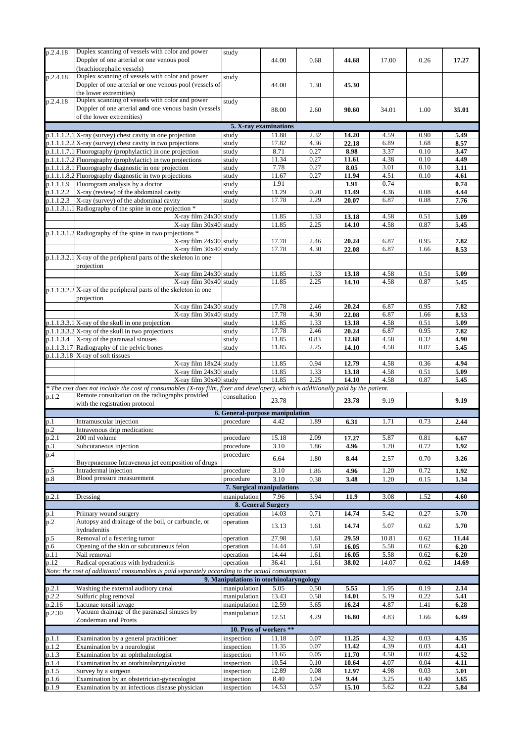| p.2.4.18       | Duplex scanning of vessels with color and power                                                                                   | study                                   |                           |              |               |              |              |              |
|----------------|-----------------------------------------------------------------------------------------------------------------------------------|-----------------------------------------|---------------------------|--------------|---------------|--------------|--------------|--------------|
|                | Doppler of one arterial or one venous pool                                                                                        |                                         | 44.00                     | 0.68         | 44.68         | 17.00        | 0.26         | 17.27        |
|                |                                                                                                                                   |                                         |                           |              |               |              |              |              |
|                | (brachiocephalic vessels)                                                                                                         |                                         |                           |              |               |              |              |              |
| p.2.4.18       | Duplex scanning of vessels with color and power                                                                                   | study                                   |                           |              |               |              |              |              |
|                | Doppler of one arterial or one venous pool (vessels of                                                                            |                                         | 44.00                     | 1.30         | 45.30         |              |              |              |
|                |                                                                                                                                   |                                         |                           |              |               |              |              |              |
|                | the lower extremities)                                                                                                            |                                         |                           |              |               |              |              |              |
| p.2.4.18       | Duplex scanning of vessels with color and power                                                                                   | study                                   |                           |              |               |              |              |              |
|                | Doppler of one arterial and one venous basin (vessels                                                                             |                                         | 88.00                     | 2.60         | 90.60         | 34.01        | 1.00         | 35.01        |
|                | of the lower extremities)                                                                                                         |                                         |                           |              |               |              |              |              |
|                |                                                                                                                                   |                                         |                           |              |               |              |              |              |
|                |                                                                                                                                   |                                         | 5. X-ray examinations     |              |               |              |              |              |
|                | $p.1.1.1.2.1$ X-ray (survey) chest cavity in one projection                                                                       | study                                   | 11.88                     | 2.32         | 14.20         | 4.59         | 0.90         | 5.49         |
|                | $p.1.1.1.2.2$ X-ray (survey) chest cavity in two projections                                                                      | study                                   | 17.82                     | 4.36         | 22.18         | 6.89         | 1.68         | 8.57         |
|                |                                                                                                                                   |                                         |                           |              |               |              |              |              |
|                | p.1.1.1.7.1 Fluorography (prophylactic) in one projection                                                                         | study                                   | 8.71                      | 0.27         | 8.98          | 3.37         | 0.10         | 3.47         |
|                | $p.1.1.1.7.2$ Fluorography (prophylactic) in two projections                                                                      | study                                   | 11.34                     | 0.27         | 11.61         | 4.38         | 0.10         | 4.49         |
|                | p.1.1.1.8.1 Fluorography diagnostic in one projection                                                                             | study                                   | 7.78                      | 0.27         | 8.05          | 3.01         | 0.10         | 3.11         |
|                | p.1.1.1.8.2 Fluorography diagnostic in two projections                                                                            | study                                   | 11.67                     | 0.27         | 11.94         | 4.51         | 0.10         | 4.61         |
|                |                                                                                                                                   |                                         |                           |              |               |              |              |              |
| p.1.1.1.9      | Fluorogram analysis by a doctor                                                                                                   | study                                   | 1.91                      |              | 1.91          | 0.74         |              | 0.74         |
|                | $p.1.1.2.2$ X-ray (review) of the abdominal cavity                                                                                | study                                   | 11.29                     | 0.20         | 11.49         | 4.36         | 0.08         | 4.44         |
|                | $p.1.1.2.3$ X-ray (survey) of the abdominal cavity                                                                                | study                                   | 17.78                     | 2.29         | 20.07         | 6.87         | 0.88         | 7.76         |
|                | p.1.1.3.1.1 Radiography of the spine in one projection *                                                                          |                                         |                           |              |               |              |              |              |
|                |                                                                                                                                   |                                         |                           |              |               |              |              |              |
|                | X-ray film 24x30 study                                                                                                            |                                         | 11.85                     | 1.33         | 13.18         | 4.58         | 0.51         | 5.09         |
|                | X-ray film 30x40 study                                                                                                            |                                         | 11.85                     | 2.25         | 14.10         | 4.58         | 0.87         | 5.45         |
|                | $p.1.1.3.1.2$ Radiography of the spine in two projections $*$                                                                     |                                         |                           |              |               |              |              |              |
|                | X-ray film 24x30 study                                                                                                            |                                         | 17.78                     | 2.46         |               | 6.87         | 0.95         | 7.82         |
|                |                                                                                                                                   |                                         |                           |              | 20.24         |              |              |              |
|                | X-ray film 30x40 study                                                                                                            |                                         | 17.78                     | 4.30         | 22.08         | 6.87         | 1.66         | 8.53         |
|                | $p.1.1.3.2.1$ X-ray of the peripheral parts of the skeleton in one                                                                |                                         |                           |              |               |              |              |              |
|                | projection                                                                                                                        |                                         |                           |              |               |              |              |              |
|                |                                                                                                                                   |                                         |                           |              |               |              |              |              |
|                | X-ray film 24x30 study                                                                                                            |                                         | 11.85                     | 1.33         | 13.18         | 4.58         | 0.51         | 5.09         |
|                | X-ray film 30x40 study                                                                                                            |                                         | 11.85                     | 2.25         | 14.10         | 4.58         | 0.87         | 5.45         |
|                | $p.1.1.3.2.2$ X-ray of the peripheral parts of the skeleton in one                                                                |                                         |                           |              |               |              |              |              |
|                |                                                                                                                                   |                                         |                           |              |               |              |              |              |
|                | projection                                                                                                                        |                                         |                           |              |               |              |              |              |
|                | X-ray film 24x30 study                                                                                                            |                                         | 17.78                     | 2.46         | 20.24         | 6.87         | 0.95         | 7.82         |
|                | X-ray film 30x40 study                                                                                                            |                                         | 17.78                     | 4.30         | 22.08         | 6.87         | 1.66         | 8.53         |
|                | $p.1.1.3.3.1$ X-ray of the skull in one projection                                                                                | study                                   | 11.85                     | 1.33         | 13.18         | 4.58         | 0.51         | 5.09         |
|                |                                                                                                                                   |                                         |                           |              |               | 6.87         | 0.95         |              |
|                | $p.1.1.3.3.2$ X-ray of the skull in two projections                                                                               | study                                   | 17.78                     | 2.46         | 20.24         |              |              | 7.82         |
|                | $p.1.1.3.4$ X-ray of the paranasal sinuses                                                                                        | study                                   | 11.85                     | 0.83         | 12.68         | 4.58         | 0.32         | 4.90         |
|                | p.1.1.3.17 Radiography of the pelvic bones                                                                                        | study                                   | 11.85                     | 2.25         | 14.10         | 4.58         | 0.87         | 5.45         |
|                | $p.1.1.3.18$ X-ray of soft tissues                                                                                                |                                         |                           |              |               |              |              |              |
|                |                                                                                                                                   |                                         |                           |              |               |              |              |              |
|                | X-ray film 18x24 study                                                                                                            |                                         | 11.85                     | 0.94         | 12.79         | 4.58         | 0.36         | 4.94         |
|                | X-ray film 24x30 study                                                                                                            |                                         | 11.85                     | 1.33         | 13.18         | 4.58         | 0.51         | 5.09         |
|                | X-ray film 30x40 study                                                                                                            |                                         | 11.85                     | 2.25         | 14.10         | 4.58         | 0.87         | 5.45         |
|                | * The cost does not include the cost of consumables (X-ray film, fixer and developer), which is additionally paid by the patient. |                                         |                           |              |               |              |              |              |
|                |                                                                                                                                   |                                         |                           |              |               |              |              |              |
| p.1.2          | Remote consultation on the radiographs provided                                                                                   | consultation                            | 23.78                     |              | 23.78         | 9.19         |              | 9.19         |
|                | with the registration protocol                                                                                                    |                                         |                           |              |               |              |              |              |
|                |                                                                                                                                   | 6. General-purpose manipulation         |                           |              |               |              |              |              |
|                |                                                                                                                                   |                                         |                           |              |               |              |              |              |
| p.1            | Intramuscular injection                                                                                                           | procedure                               | 4.42                      | 1.89         | 6.31          | 1.71         | 0.73         | 2.44         |
| p.2            | Intravenous drip medication:                                                                                                      |                                         |                           |              |               |              |              |              |
| p.2.1          | 200 ml volume                                                                                                                     | procedure                               | 15.18                     | 2.09         | 17.27         | 5.87         | 0.81         | 6.67         |
|                |                                                                                                                                   |                                         | 3.10                      |              | 4.96          | 1.20         | 0.72         | 1.92         |
| p.3            | Subcutaneous injection                                                                                                            | procedure                               |                           | 1.86         |               |              |              |              |
| p.4            |                                                                                                                                   | procedure                               | 6.64                      | 1.80         | 8.44          | 2.57         | 0.70         | 3.26         |
|                | Внутривенное Intravenous jet composition of drugs                                                                                 |                                         |                           |              |               |              |              |              |
| p.5            | Intradermal injection                                                                                                             | procedure                               | 3.10                      |              |               |              |              | 1.92         |
|                | Blood pressure measurement                                                                                                        |                                         |                           |              |               |              |              |              |
| p.8            |                                                                                                                                   |                                         |                           | 1.86         | 4.96          | 1.20         | 0.72         |              |
|                |                                                                                                                                   | procedure                               | 3.10                      | 0.38         | 3.48          | 1.20         | 0.15         | 1.34         |
|                |                                                                                                                                   |                                         | 7. Surgical manipulations |              |               |              |              |              |
|                |                                                                                                                                   |                                         |                           |              |               |              |              |              |
| p.2.1          | Dressing                                                                                                                          | manipulation                            | 7.96                      | 3.94         | 11.9          | 3.08         | 1.52         | 4.60         |
|                |                                                                                                                                   |                                         | 8. General Surgery        |              |               |              |              |              |
| p.1            | Primary wound surgery                                                                                                             | operation                               | 14.03                     | 0.71         | 14.74         | 5.42         | 0.27         | 5.70         |
|                |                                                                                                                                   |                                         |                           |              |               |              |              |              |
| p.2            | Autopsy and drainage of the boil, or carbuncle, or                                                                                | operation                               | 13.13                     | 1.61         | 14.74         | 5.07         | 0.62         | 5.70         |
|                | hydradenitis                                                                                                                      |                                         |                           |              |               |              |              |              |
| p.5            | Removal of a festering tumor                                                                                                      | operation                               | 27.98                     | 1.61         | 29.59         | 10.81        | 0.62         | 11.44        |
|                |                                                                                                                                   | operation                               | 14.44                     | 1.61         | 16.05         |              | 0.62         | 6.20         |
| p.6            | Opening of the skin or subcutaneous felon                                                                                         |                                         |                           |              |               | 5.58         |              |              |
| p.11           | Nail removal                                                                                                                      | operation                               | 14.44                     | 1.61         | 16.05         | 5.58         | 0.62         | 6.20         |
| p.12           | Radical operations with hydradenitis                                                                                              | operation                               | 36.41                     | 1.61         | 38.02         | 14.07        | 0.62         | 14.69        |
|                | Note: the cost of additional consumables is paid separately according to the actual consumption                                   |                                         |                           |              |               |              |              |              |
|                |                                                                                                                                   |                                         |                           |              |               |              |              |              |
|                |                                                                                                                                   | 9. Manipulations in otorhinolaryngology |                           |              |               |              |              |              |
| p.2.1          | Washing the external auditory canal                                                                                               | manipulation                            | 5.05                      | 0.50         | 5.55          | 1.95         | 0.19         | 2.14         |
| p.2.2          | Sulfuric plug removal                                                                                                             | manipulation                            | 13.43                     | 0.58         | 14.01         | 5.19         | 0.22         | 5.41         |
|                |                                                                                                                                   |                                         |                           |              |               |              |              |              |
| p.2.16         | Lacunae tonsil lavage                                                                                                             | manipulation                            | 12.59                     | 3.65         | 16.24         | 4.87         | 1.41         | 6.28         |
| p.2.30         | Vacuum drainage of the paranasal sinuses by                                                                                       | manipulation                            | 12.51                     | 4.29         | 16.80         | 4.83         | 1.66         | 6.49         |
|                | Zonderman and Proets                                                                                                              |                                         |                           |              |               |              |              |              |
|                |                                                                                                                                   |                                         | 10. Pros of workers **    |              |               |              |              |              |
|                |                                                                                                                                   |                                         |                           |              |               |              |              |              |
| p.1.1          | Examination by a general practitioner                                                                                             | inspection                              | 11.18                     | 0.07         | 11.25         | 4.32         | 0.03         | 4.35         |
| p.1.2          | Examination by a neurologist                                                                                                      | inspection                              | 11.35                     | 0.07         | 11.42         | 4.39         | 0.03         | 4.41         |
| p.1.3          | Examination by an ophthalmologist                                                                                                 | inspection                              | 11.65                     | 0.05         | 11.70         | 4.50         | 0.02         | 4.52         |
|                |                                                                                                                                   |                                         |                           |              |               |              |              |              |
| p.1.4          | Examination by an otorhinolaryngologist                                                                                           | inspection                              | 10.54                     | 0.10         | 10.64         | 4.07         | 0.04         | 4.11         |
| p.1.5          | Survey by a surgeon                                                                                                               | inspection                              | 12.89                     | 0.08         | 12.97         | 4.98         | 0.03         | 5.01         |
| p.1.6<br>p.1.9 | Examination by an obstetrician-gynecologist<br>Examination by an infectious disease physician                                     | inspection<br>inspection                | 8.40<br>14.53             | 1.04<br>0.57 | 9.44<br>15.10 | 3.25<br>5.62 | 0.40<br>0.22 | 3.65<br>5.84 |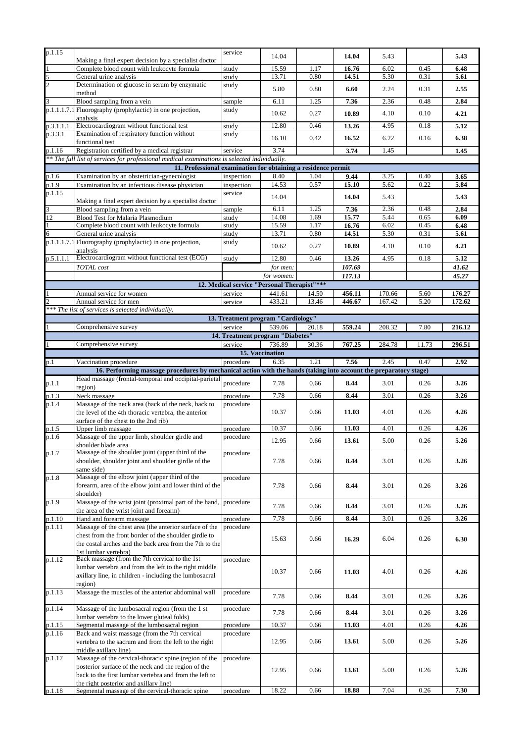| p.1.15              |                                                                                                                                            | service                                     | 14.04                     |       | 14.04  | 5.43   |       | 5.43   |
|---------------------|--------------------------------------------------------------------------------------------------------------------------------------------|---------------------------------------------|---------------------------|-------|--------|--------|-------|--------|
| $\mathbf{1}$        | Making a final expert decision by a specialist doctor<br>Complete blood count with leukocyte formula                                       | study                                       | 15.59                     | 1.17  | 16.76  | 6.02   | 0.45  | 6.48   |
|                     | General urine analysis                                                                                                                     | study                                       | 13.71                     | 0.80  | 14.51  | 5.30   | 0.31  | 5.61   |
| $rac{5}{2}$         | Determination of glucose in serum by enzymatic                                                                                             | study                                       |                           |       |        |        |       |        |
|                     | method                                                                                                                                     |                                             | 5.80                      | 0.80  | 6.60   | 2.24   | 0.31  | 2.55   |
| 3                   | Blood sampling from a vein                                                                                                                 | sample                                      | 6.11                      | 1.25  | 7.36   | 2.36   | 0.48  | 2.84   |
|                     | p.1.1.1.7.1 Fluorography (prophylactic) in one projection,                                                                                 | study                                       |                           |       |        |        |       |        |
|                     | analysis                                                                                                                                   |                                             | 10.62                     | 0.27  | 10.89  | 4.10   | 0.10  | 4.21   |
| p.3.1.1.1           | Electrocardiogram without functional test                                                                                                  | study                                       | 12.80                     | 0.46  | 13.26  | 4.95   | 0.18  | 5.12   |
| p.3.3.1             | Examination of respiratory function without                                                                                                | study                                       |                           |       |        |        |       |        |
|                     | functional test                                                                                                                            |                                             | 16.10                     | 0.42  | 16.52  | 6.22   | 0.16  | 6.38   |
| p.1.16              | Registration certified by a medical registrar                                                                                              | service                                     | 3.74                      |       | 3.74   | 1.45   |       | 1.45   |
|                     | ** The full list of services for professional medical examinations is selected individually.                                               |                                             |                           |       |        |        |       |        |
|                     | 11. Professional examination for obtaining a residence permit                                                                              |                                             |                           |       |        |        |       |        |
| p.1.6               | Examination by an obstetrician-gynecologist                                                                                                | inspection                                  | 8.40                      | 1.04  | 9.44   | 3.25   | 0.40  | 3.65   |
| $p.1.\overline{9}$  | Examination by an infectious disease physician                                                                                             | inspection                                  | 14.53                     | 0.57  | 15.10  | 5.62   | 0.22  | 5.84   |
| p.1.15              |                                                                                                                                            | service                                     | 14.04                     |       | 14.04  | 5.43   |       | 5.43   |
|                     | Making a final expert decision by a specialist doctor                                                                                      |                                             |                           |       |        |        |       |        |
| 3                   | Blood sampling from a vein                                                                                                                 | sample                                      | 6.11                      | 1.25  | 7.36   | 2.36   | 0.48  | 2.84   |
| 12                  | Blood Test for Malaria Plasmodium                                                                                                          | study                                       | 14.08                     | 1.69  | 15.77  | 5.44   | 0.65  | 6.09   |
| $\overline{1}$      | Complete blood count with leukocyte formula                                                                                                | study                                       | 15.59                     | 1.17  | 16.76  | 6.02   | 0.45  | 6.48   |
| 6                   | General urine analysis                                                                                                                     | study                                       | 13.71                     | 0.80  | 14.51  | 5.30   | 0.31  | 5.61   |
|                     | p.1.1.1.7.1 Fluorography (prophylactic) in one projection,                                                                                 | study                                       | 10.62                     | 0.27  | 10.89  | 4.10   | 0.10  | 4.21   |
|                     | analysis<br>Electrocardiogram without functional test (ECG)                                                                                |                                             |                           |       |        |        |       |        |
| p.5.1.1.1           |                                                                                                                                            | study                                       | 12.80                     | 0.46  | 13.26  | 4.95   | 0.18  | 5.12   |
|                     | <b>TOTAL</b> cost                                                                                                                          |                                             | for men:                  |       | 107.69 |        |       | 41.62  |
|                     |                                                                                                                                            |                                             | for women:                |       | 117.13 |        |       | 45.27  |
|                     |                                                                                                                                            | 12. Medical service "Personal Therapist"*** |                           |       |        |        |       |        |
| 1<br>$\mathfrak{D}$ | Annual service for women                                                                                                                   | service                                     | 441.61                    | 14.50 | 456.11 | 170.66 | 5.60  | 176.27 |
|                     | Annual service for men<br>*** The list of services is selected individually.                                                               | service                                     | 433.21                    | 13.46 | 446.67 | 167.42 | 5.20  | 172.62 |
|                     |                                                                                                                                            | 13. Treatment program "Cardiology"          |                           |       |        |        |       |        |
|                     |                                                                                                                                            |                                             |                           |       |        |        |       |        |
| $\mathbf{1}$        | Comprehensive survey                                                                                                                       | service<br>14. Treatment program "Diabetes" | 539.06                    | 20.18 | 559.24 | 208.32 | 7.80  | 216.12 |
|                     |                                                                                                                                            |                                             |                           |       |        |        |       |        |
| $\overline{1}$      | Comprehensive survey                                                                                                                       | service                                     | 736.89<br>15. Vaccination | 30.36 | 767.25 | 284.78 | 11.73 | 296.51 |
|                     |                                                                                                                                            |                                             |                           |       |        |        |       |        |
| p.1                 | Vaccination procedure<br>16. Performing massage procedures by mechanical action with the hands (taking into account the preparatory stage) | procedure                                   | 6.35                      | 1.21  | 7.56   | 2.45   | 0.47  | 2.92   |
|                     | Head massage (frontal-temporal and occipital-parietal                                                                                      |                                             |                           |       |        |        |       |        |
| p.1.1               |                                                                                                                                            | procedure                                   | 7.78                      | 0.66  | 8.44   | 3.01   | 0.26  | 3.26   |
|                     |                                                                                                                                            |                                             |                           |       |        |        |       |        |
|                     | region)                                                                                                                                    |                                             |                           |       |        |        |       |        |
| p.1.3               | Neck massage                                                                                                                               | procedure                                   | 7.78                      | 0.66  | 8.44   | 3.01   | 0.26  | 3.26   |
| p.1.4               | Massage of the neck area (back of the neck, back to                                                                                        | procedure                                   |                           |       |        |        |       |        |
|                     | the level of the 4th thoracic vertebra, the anterior                                                                                       |                                             | 10.37                     | 0.66  | 11.03  | 4.01   | 0.26  | 4.26   |
|                     | surface of the chest to the 2nd rib)                                                                                                       |                                             | 10.37                     | 0.66  | 11.03  | 4.01   | 0.26  | 4.26   |
| p.1.5<br>p.1.6      | Upper limb massage                                                                                                                         | procedure<br>procedure                      |                           |       |        |        |       |        |
|                     | Massage of the upper limb, shoulder girdle and<br>shoulder blade area                                                                      |                                             | 12.95                     | 0.66  | 13.61  | 5.00   | 0.26  | 5.26   |
| p.1.7               | Massage of the shoulder joint (upper third of the                                                                                          | procedure                                   |                           |       |        |        |       |        |
|                     | shoulder, shoulder joint and shoulder girdle of the                                                                                        |                                             | 7.78                      | 0.66  | 8.44   | 3.01   | 0.26  | 3.26   |
|                     | same side)                                                                                                                                 |                                             |                           |       |        |        |       |        |
| p.1.8               | Massage of the elbow joint (upper third of the                                                                                             | procedure                                   |                           |       |        |        |       |        |
|                     | forearm, area of the elbow joint and lower third of the                                                                                    |                                             | 7.78                      | 0.66  | 8.44   | 3.01   | 0.26  | 3.26   |
|                     | shoulder)                                                                                                                                  |                                             |                           |       |        |        |       |        |
| p.1.9               | Massage of the wrist joint (proximal part of the hand,                                                                                     | procedure                                   | 7.78                      | 0.66  |        | 3.01   | 0.26  |        |
|                     | the area of the wrist joint and forearm)                                                                                                   |                                             |                           |       | 8.44   |        |       | 3.26   |
| p.1.10              | Hand and forearm massage                                                                                                                   | procedure                                   | 7.78                      | 0.66  | 8.44   | 3.01   | 0.26  | 3.26   |
| p.1.11              | Massage of the chest area (the anterior surface of the                                                                                     | procedure                                   |                           |       |        |        |       |        |
|                     | chest from the front border of the shoulder girdle to                                                                                      |                                             | 15.63                     | 0.66  | 16.29  | 6.04   | 0.26  | 6.30   |
|                     | the costal arches and the back area from the 7th to the                                                                                    |                                             |                           |       |        |        |       |        |
|                     | 1st lumbar vertebra)                                                                                                                       |                                             |                           |       |        |        |       |        |
| p.1.12              | Back massage (from the 7th cervical to the 1st                                                                                             | procedure                                   |                           |       |        |        |       |        |
|                     | lumbar vertebra and from the left to the right middle                                                                                      |                                             | 10.37                     | 0.66  | 11.03  | 4.01   | 0.26  | 4.26   |
|                     | axillary line, in children - including the lumbosacral<br>region)                                                                          |                                             |                           |       |        |        |       |        |
|                     |                                                                                                                                            | procedure                                   |                           |       |        |        |       |        |
| p.1.13              | Massage the muscles of the anterior abdominal wall                                                                                         |                                             | 7.78                      | 0.66  | 8.44   | 3.01   | 0.26  | 3.26   |
| p.1.14              | Massage of the lumbosacral region (from the 1 st                                                                                           | procedure                                   |                           |       |        |        |       |        |
|                     | lumbar vertebra to the lower gluteal folds)                                                                                                |                                             | 7.78                      | 0.66  | 8.44   | 3.01   | 0.26  | 3.26   |
| p.1.15              | Segmental massage of the lumbosacral region                                                                                                | procedure                                   | 10.37                     | 0.66  | 11.03  | 4.01   | 0.26  | 4.26   |
| p.1.16              | Back and waist massage (from the 7th cervical                                                                                              | procedure                                   |                           |       |        |        |       |        |
|                     | vertebra to the sacrum and from the left to the right                                                                                      |                                             | 12.95                     | 0.66  | 13.61  | 5.00   | 0.26  | 5.26   |
|                     | middle axillary line)                                                                                                                      |                                             |                           |       |        |        |       |        |
| p.1.17              | Massage of the cervical-thoracic spine (region of the                                                                                      | procedure                                   |                           |       |        |        |       |        |
|                     | posterior surface of the neck and the region of the                                                                                        |                                             | 12.95                     | 0.66  | 13.61  | 5.00   | 0.26  | 5.26   |
|                     | back to the first lumbar vertebra and from the left to                                                                                     |                                             |                           |       |        |        |       |        |
| p.1.18              | the right posterior and axillary line)<br>Segmental massage of the cervical-thoracic spine                                                 | procedure                                   | 18.22                     | 0.66  | 18.88  | 7.04   | 0.26  | 7.30   |